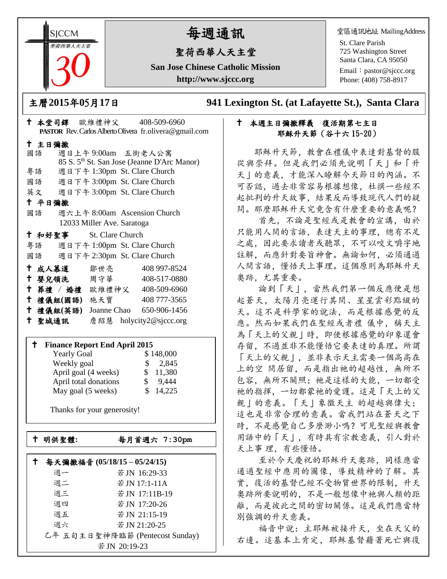**SICCM** 荷西華人天主?

# 每週通訊

## 聖荷西華人天主堂

**San Jose Chinese Catholic Mission http://www.sjccc.org**

堂區通訊地址 MailingAddress

St. Clare Parish 725 Washington Street Santa Clara, CA 95050

Email: [pastor@sjccc.org](mailto:pastor@sjccc.org) Phone: (408) 758-8917

主曆**2015**年**0**5月**17**日 **941 Lexington St. (at Lafayette St.), Santa Clara** 

### 本週主日彌撒釋義復活期第七主日 耶穌升天節(谷十六 15~20)

 耶穌升天節,教會在禮儀中表達對基督的服 從與崇拜。但是我們必須先說明「天」和「升 天」的意義,才能深入瞭解今天節日的內涵。不 可否認,過去非常容易根據想像,杜撰一些經不 起批判的升天故事,結果反而導致現代人們的疑 問。那麼耶穌升天究竟含有什麼重要的意義呢?

 首先,不論是聖經或是教會的宣講,由於 只能用人間的言語,表達天主的事理,總有不足 之處,因此要求讀者或聽眾,不可以咬文嚼字地 註解,而應針對要旨神會。無論如何,必須通過 人間言語,懂悟天上事理。這個原則為耶穌升天 奧跡,尤其重要。

 論到「天」,當然我們第一個反應便是想 起蒼天,太陽月亮運行其間、星星雲彩點綴的 天。這不是科學家的說法,而是根據感覺的反 應。然而如果我們在聖經或者禮儀中,稱天主 為「天上的父親」時,即使根據感覺的印象還會 存留,不過並非不能懂悟它要表達的真理。所謂 「天上的父親」,並非表示天主需要一個高高在 上的空 間居留,而是指出祂的超越性,無所不 包容, 無所不關照;祂是這樣的大能, 一切都受 祂的指揮,一切都蒙祂的愛護。這是「天上的父 親」的意義。「天」象徵天主 的超越與偉大; 這也是非常合理的意義。當我們站在蒼天之下 時,不是感覺自己多麼渺小嗎?可見聖經與教會 用語中的「天」,有時具有宗教意義,引人對於 天上事 理,有些懂悟。

 至於今天慶祝的耶穌升天奧跡,同樣應當 通過聖經中應用的圖像,導致精神的了解。其 實,復活的基督已經不受物質世界的限制,升天 奧跡所要說明的,不是一般想像中祂與人類的距 離,而是彼此之間的密切關係。這是我們應當特 別強調的升天意義。

 福音中說:主耶穌被接升天,坐在天父的 右邊。這基本上肯定,耶穌基督藉著死亡與復

|        |                                    |                            | <b>PASTOR</b> Rev. Carlos Alberto Olivera fr. olivera @ gmail.com |
|--------|------------------------------------|----------------------------|-------------------------------------------------------------------|
| 十 主日彌撒 |                                    |                            |                                                                   |
| 國語     |                                    |                            | 週日上午9:00am 五街老人公寓                                                 |
|        |                                    |                            | 85 S. 5 <sup>th</sup> St. San Jose (Jeanne D'Arc Manor)           |
|        |                                    |                            | 粤語 週日下午 1:30pm St. Clare Church                                   |
|        |                                    |                            | 國語 週日下午 3:00pm St. Clare Church                                   |
|        |                                    |                            | 英文 週日下午 3:00pm St. Clare Church                                   |
| 十 平日彌撒 |                                    |                            |                                                                   |
| 國語     |                                    |                            | 週六上午 8:00am Ascension Church                                      |
|        |                                    | 12033 Miller Ave. Saratoga |                                                                   |
|        | <sup>†</sup> 和好聖事 St. Clare Church |                            |                                                                   |
|        |                                    |                            | 粤語 週日下午 1:00pm St. Clare Church                                   |
|        |                                    |                            | 國語 週日下午 2:30pm St. Clare Church                                   |
|        | 十 成人慕道                             | 鄒世亮                        | 408 997-8524                                                      |
|        |                                    |                            | <sup>†</sup> 嬰兒領洗 周守華 408-517-0880                                |
|        |                                    |                            | † 葬禮 / 婚禮 歐維禮神父 408-509-6960                                      |
|        | 十 禮儀組(國語) 施天寶                      |                            | 408 777-3565                                                      |
|        |                                    |                            | <sup>†</sup> 禮儀組(英語) Joanne Chao 650-906-1456                     |
| 十 聖城通訊 |                                    |                            | 詹紹慧 holycity2@sjccc.org                                           |

本堂司鐸 歐維禮神父 408-509-6960

#### **Finance Report End April 2015**

| <b>Yearly Goal</b>    | \$148,000              |
|-----------------------|------------------------|
| Weekly goal           | 2,845<br>$\mathcal{S}$ |
| April goal (4 weeks)  | 11,380<br>SS.          |
| April total donations | 9,444                  |
| May goal (5 weeks)    | 14,225                 |

Thanks for your generosity!

└<br>├

明供聖體**:**每月首週六 **7:30pm**

|    | 每天彌撒福音 (05/18/15-05/24/15)      |
|----|---------------------------------|
| 週一 | 若JN 16:29-33                    |
| 週二 | 若JN 17:1-11A                    |
| 週三 | 若JN 17:11B-19                   |
| 週四 | 若 JN 17:20-26                   |
| 週五 | 若JN 21:15-19                    |
| 调六 | 若 JN 21:20-25                   |
|    | 乙年 五旬主日聖神降臨節 (Pentecost Sunday) |
|    | 若 JN 20:19-23                   |
|    |                                 |